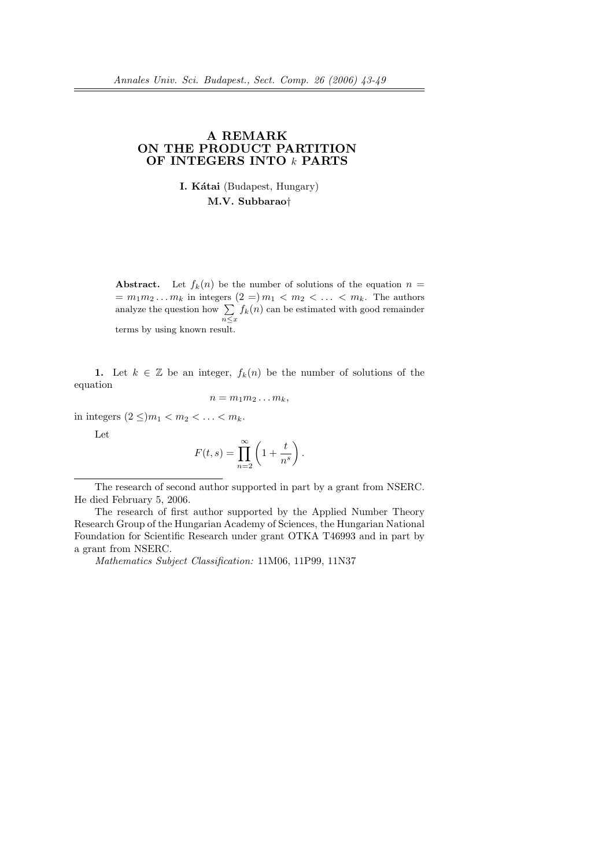# A REMARK ON THE PRODUCT PARTITION OF INTEGERS INTO k PARTS

I. Kátai (Budapest, Hungary) M.V. Subbarao†

**Abstract.** Let  $f_k(n)$  be the number of solutions of the equation  $n =$  $= m_1 m_2 \dots m_k$  in integers  $(2 = m_1 < m_2 < \dots < m_k$ . The authors  $= m_1 m_2 \dots m_k$  in integers<br>analyze the question how  $\sum$  $\sum_{n \leq x} f_k(n)$  can be estimated with good remainder terms by using known result.

1. Let  $k \in \mathbb{Z}$  be an integer,  $f_k(n)$  be the number of solutions of the equation

$$
n=m_1m_2\ldots m_k,
$$

in integers  $(2 \leq) m_1 < m_2 < \ldots < m_k$ .

Let

$$
F(t,s) = \prod_{n=2}^{\infty} \left( 1 + \frac{t}{n^s} \right).
$$

Mathematics Subject Classification: 11M06, 11P99, 11N37

The research of second author supported in part by a grant from NSERC. He died February 5, 2006.

The research of first author supported by the Applied Number Theory Research Group of the Hungarian Academy of Sciences, the Hungarian National Foundation for Scientific Research under grant OTKA T46993 and in part by a grant from NSERC.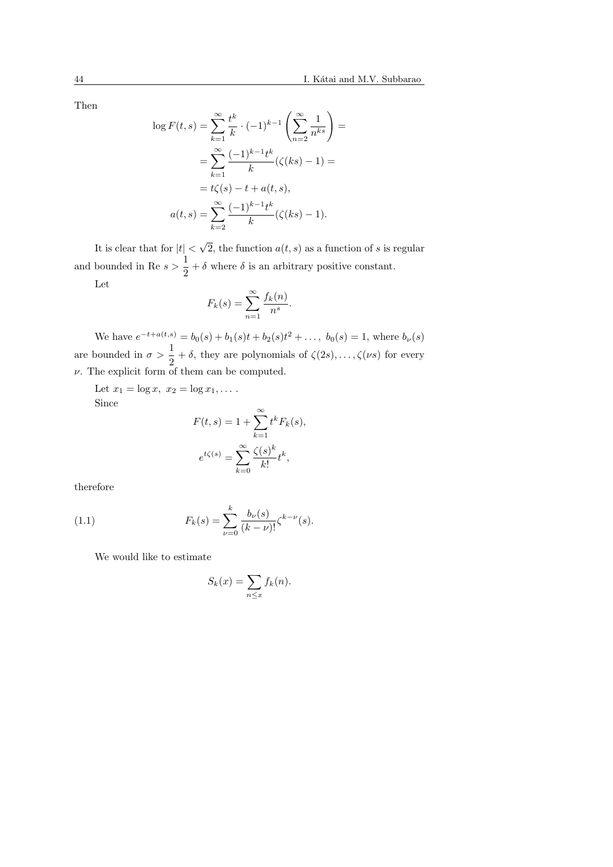Then

$$
\log F(t,s) = \sum_{k=1}^{\infty} \frac{t^k}{k} \cdot (-1)^{k-1} \left( \sum_{n=2}^{\infty} \frac{1}{n^{ks}} \right) =
$$
  
= 
$$
\sum_{k=1}^{\infty} \frac{(-1)^{k-1} t^k}{k} (\zeta(ks) - 1) =
$$
  
= 
$$
t\zeta(s) - t + a(t, s),
$$
  

$$
a(t,s) = \sum_{k=2}^{\infty} \frac{(-1)^{k-1} t^k}{k} (\zeta(ks) - 1).
$$

It is clear that for  $|t|$  < √ 2, the function  $a(t, s)$  as a function of s is regular and bounded in Re  $s > \frac{1}{2}$  $\frac{1}{2} + \delta$  where  $\delta$  is an arbitrary positive constant.

Let

$$
F_k(s) = \sum_{n=1}^{\infty} \frac{f_k(n)}{n^s}.
$$

We have  $e^{-t+a(t,s)} = b_0(s) + b_1(s)t + b_2(s)t^2 + \dots$ ,  $b_0(s) = 1$ , where  $b_{\nu}(s)$ are bounded in  $\sigma > \frac{1}{2}$  $\frac{1}{2} + \delta$ , they are polynomials of  $\zeta(2s), \ldots, \zeta(\nu s)$  for every  $\nu$ . The explicit form of them can be computed.

Let  $x_1 = \log x, x_2 = \log x_1, \ldots$ . Since

$$
F(t,s) = 1 + \sum_{k=1}^{\infty} t^k F_k(s),
$$

$$
e^{t\zeta(s)} = \sum_{k=0}^{\infty} \frac{\zeta(s)^k}{k!} t^k,
$$

therefore

(1.1) 
$$
F_k(s) = \sum_{\nu=0}^k \frac{b_{\nu}(s)}{(k-\nu)!} \zeta^{k-\nu}(s).
$$

We would like to estimate

$$
S_k(x) = \sum_{n \le x} f_k(n).
$$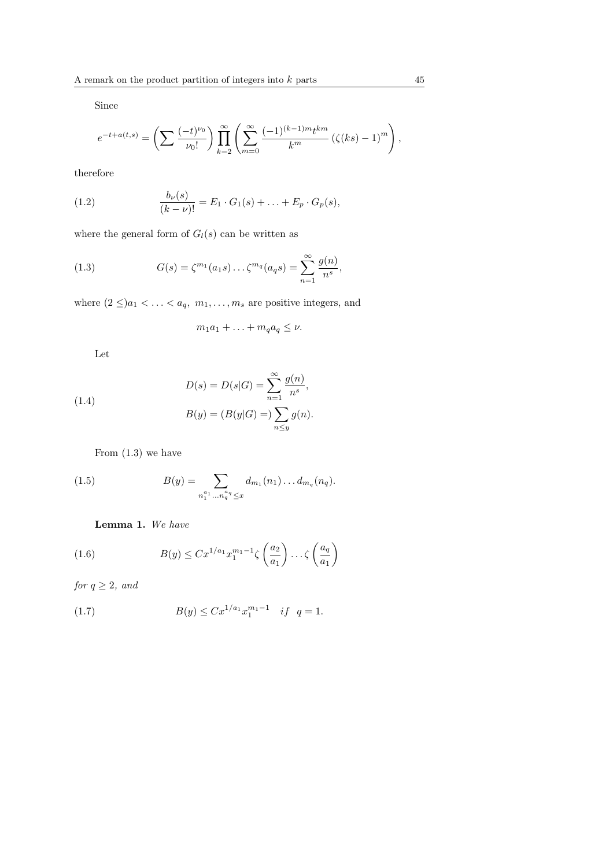Since

$$
e^{-t+a(t,s)} = \left(\sum \frac{(-t)^{\nu_0}}{\nu_0!}\right) \prod_{k=2}^{\infty} \left(\sum_{m=0}^{\infty} \frac{(-1)^{(k-1)m} t^{km}}{k^m} \left(\zeta(ks) - 1\right)^m\right),
$$

therefore

(1.2) 
$$
\frac{b_{\nu}(s)}{(k-\nu)!} = E_1 \cdot G_1(s) + \ldots + E_p \cdot G_p(s),
$$

where the general form of  $G_l(s)$  can be written as

(1.3) 
$$
G(s) = \zeta^{m_1}(a_1 s) \dots \zeta^{m_q}(a_q s) = \sum_{n=1}^{\infty} \frac{g(n)}{n^s},
$$

where  $(2 \leq) a_1 < \ldots < a_q, m_1, \ldots, m_s$  are positive integers, and

$$
m_1a_1 + \ldots + m_qa_q \leq \nu.
$$

Let

(1.4) 
$$
D(s) = D(s|G) = \sum_{n=1}^{\infty} \frac{g(n)}{n^{s}},
$$

$$
B(y) = (B(y|G)) = \sum_{n \le y} g(n).
$$

From (1.3) we have

(1.5) 
$$
B(y) = \sum_{n_1^{a_1} \dots n_q^{a_q} \leq x} d_{m_1}(n_1) \dots d_{m_q}(n_q).
$$

# Lemma 1. We have

(1.6) 
$$
B(y) \leq C x^{1/a_1} x_1^{m_1 - 1} \zeta\left(\frac{a_2}{a_1}\right) \dots \zeta\left(\frac{a_q}{a_1}\right)
$$

for  $q \geq 2$ , and

(1.7) 
$$
B(y) \leq C x^{1/a_1} x_1^{m_1 - 1} \quad \text{if} \quad q = 1.
$$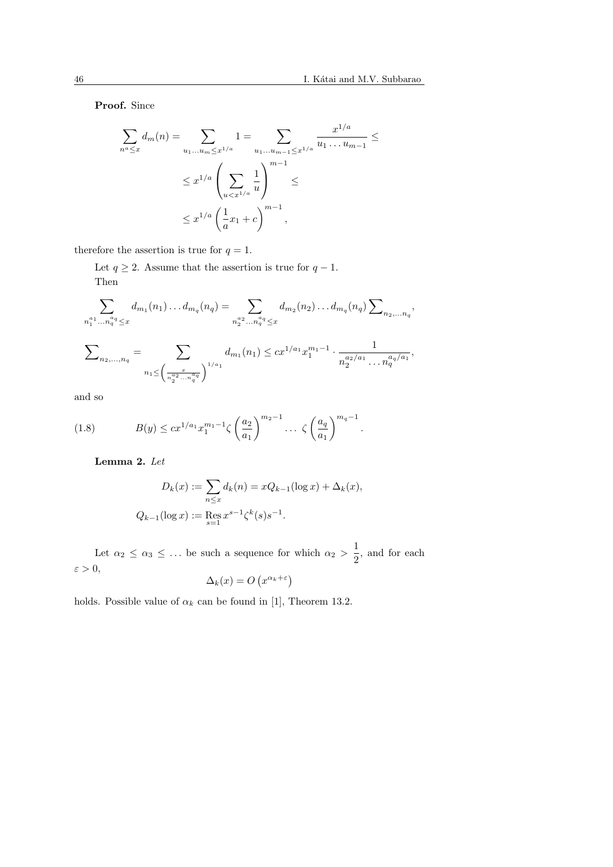Proof. Since

$$
\sum_{n^a \le x} d_m(n) = \sum_{u_1...u_m \le x^{1/a}} 1 = \sum_{u_1...u_{m-1} \le x^{1/a}} \frac{x^{1/a}}{u_1...u_{m-1}} \le
$$
  

$$
\le x^{1/a} \left( \sum_{u < x^{1/a}} \frac{1}{u} \right)^{m-1} \le
$$
  

$$
\le x^{1/a} \left( \frac{1}{a} x_1 + c \right)^{m-1},
$$

therefore the assertion is true for  $q = 1$ .

Let  $q \geq 2$ . Assume that the assertion is true for  $q - 1$ . Then

$$
\sum_{n_1^{a_1} \dots n_q^{a_q} \leq x} d_{m_1}(n_1) \dots d_{m_q}(n_q) = \sum_{n_2^{a_2} \dots n_q^{a_q} \leq x} d_{m_2}(n_2) \dots d_{m_q}(n_q) \sum_{n_2, \dots n_q},
$$

$$
\sum_{n_2,\dots,n_q} = \sum_{n_1 \leq \left(\frac{x}{n_2^2 \dots n_q^{\alpha_q}}\right)^{1/a_1}} d_{m_1}(n_1) \leq cx^{1/a_1} x_1^{m_1-1} \cdot \frac{1}{n_2^{a_2/a_1} \dots n_q^{a_q/a_1}},
$$

and so

(1.8) 
$$
B(y) \leq c x^{1/a_1} x_1^{m_1 - 1} \zeta \left(\frac{a_2}{a_1}\right)^{m_2 - 1} \dots \zeta \left(\frac{a_q}{a_1}\right)^{m_q - 1}.
$$

Lemma 2. Let

$$
D_k(x) := \sum_{n \le x} d_k(n) = xQ_{k-1}(\log x) + \Delta_k(x),
$$
  

$$
Q_{k-1}(\log x) := \text{Res}_{s=1} x^{s-1} \zeta^k(s) s^{-1}.
$$

Let  $\alpha_2 \leq \alpha_3 \leq \ldots$  be such a sequence for which  $\alpha_2 > \frac{1}{2}$  $\frac{1}{2}$ , and for each  $\varepsilon > 0$ , ¡ ¢

$$
\Delta_k(x) = O\left(x^{\alpha_k + \varepsilon}\right)
$$

holds. Possible value of  $\alpha_k$  can be found in [1], Theorem 13.2.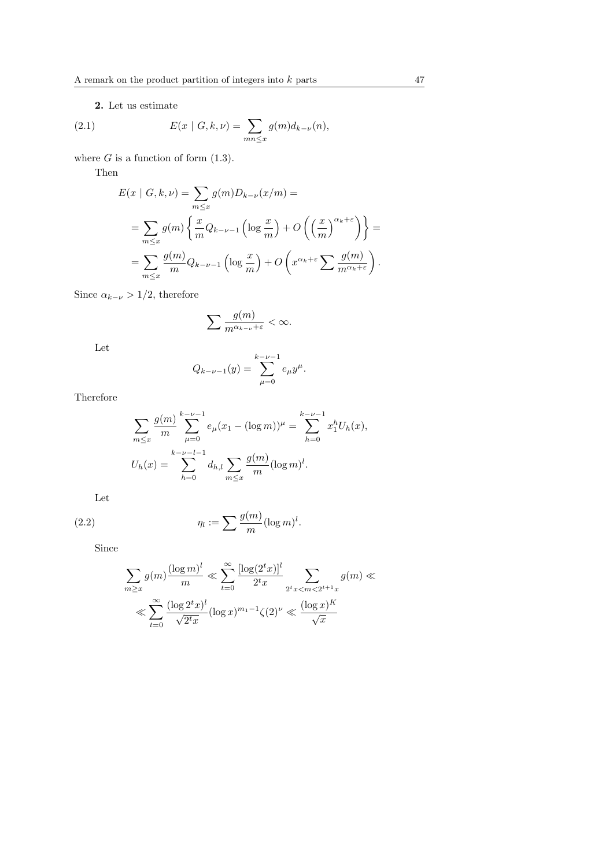2. Let us estimate

(2.1) 
$$
E(x | G, k, \nu) = \sum_{mn \le x} g(m) d_{k-\nu}(n),
$$

where  $G$  is a function of form  $(1.3)$ .

Then

$$
E(x \mid G, k, \nu) = \sum_{m \le x} g(m) D_{k-\nu}(x/m) =
$$
  
= 
$$
\sum_{m \le x} g(m) \left\{ \frac{x}{m} Q_{k-\nu-1} \left( \log \frac{x}{m} \right) + O \left( \left( \frac{x}{m} \right)^{\alpha_k + \varepsilon} \right) \right\} =
$$
  
= 
$$
\sum_{m \le x} \frac{g(m)}{m} Q_{k-\nu-1} \left( \log \frac{x}{m} \right) + O \left( x^{\alpha_k + \varepsilon} \sum \frac{g(m)}{m^{\alpha_k + \varepsilon}} \right).
$$

Since  $\alpha_{k-\nu} > 1/2$ , therefore

$$
\sum \frac{g(m)}{m^{\alpha_{k-\nu}+\varepsilon}} < \infty.
$$

Let

$$
Q_{k-\nu-1}(y) = \sum_{\mu=0}^{k-\nu-1} e_{\mu} y^{\mu}.
$$

Therefore

$$
\sum_{m \leq x} \frac{g(m)}{m} \sum_{\mu=0}^{k-\nu-1} e_{\mu}(x_1 - (\log m))^{\mu} = \sum_{h=0}^{k-\nu-1} x_1^h U_h(x),
$$
  

$$
U_h(x) = \sum_{h=0}^{k-\nu-l-1} d_{h,l} \sum_{m \leq x} \frac{g(m)}{m} (\log m)^l.
$$

Let

(2.2) 
$$
\eta_l := \sum \frac{g(m)}{m} (\log m)^l.
$$

Since

$$
\sum_{m \ge x} g(m) \frac{(\log m)^l}{m} \ll \sum_{t=0}^{\infty} \frac{[\log(2^t x)]^l}{2^t x} \sum_{2^t x < m < 2^{t+1} x} g(m) \ll
$$
\n
$$
\ll \sum_{t=0}^{\infty} \frac{(\log 2^t x)^l}{\sqrt{2^t x}} (\log x)^{m_1 - 1} \zeta(2)^{\nu} \ll \frac{(\log x)^K}{\sqrt{x}}
$$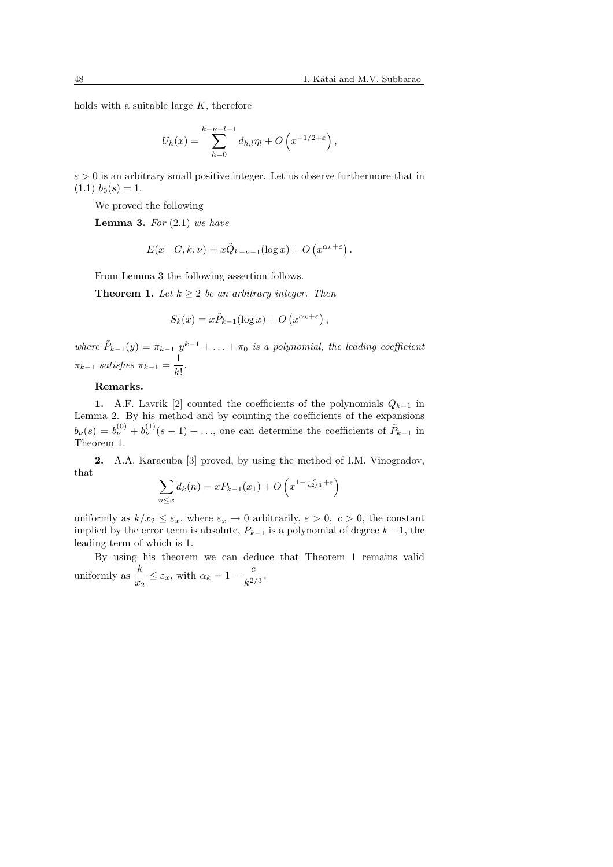holds with a suitable large  $K$ , therefore

$$
U_h(x) = \sum_{h=0}^{k-\nu-l-1} d_{h,l} \eta_l + O\left(x^{-1/2+\varepsilon}\right),
$$

 $\varepsilon > 0$  is an arbitrary small positive integer. Let us observe furthermore that in  $(1.1)$   $b_0(s) = 1.$ 

We proved the following

**Lemma 3.** For  $(2.1)$  we have

$$
E(x \mid G, k, \nu) = x\tilde{Q}_{k-\nu-1}(\log x) + O\left(x^{\alpha_k + \varepsilon}\right).
$$

From Lemma 3 the following assertion follows.

**Theorem 1.** Let  $k \geq 2$  be an arbitrary integer. Then

$$
S_k(x) = x\tilde{P}_{k-1}(\log x) + O\left(x^{\alpha_k + \varepsilon}\right),
$$

where  $\tilde{P}_{k-1}(y) = \pi_{k-1} y^{k-1} + \ldots + \pi_0$  is a polynomial, the leading coefficient  $\pi_{k-1}$  satisfies  $\pi_{k-1} = \frac{1}{L}$  $\frac{1}{k!}$ .

### Remarks.

1. A.F. Lavrik [2] counted the coefficients of the polynomials  $Q_{k-1}$  in Lemma 2. By his method and by counting the coefficients of the expansions  $b_{\nu}(s) = b_{\nu}^{(0)} + b_{\nu}^{(1)}(s-1) + \ldots$ , one can determine the coefficients of  $P_{k-1}$  in Theorem 1.

2. A.A. Karacuba [3] proved, by using the method of I.M. Vinogradov, that  $\overline{a}$  $\overline{a}$ ´

$$
\sum_{n \le x} d_k(n) = xP_{k-1}(x_1) + O\left(x^{1 - \frac{c}{k^{2/3}} + \varepsilon}\right)
$$

uniformly as  $k/x_2 \leq \varepsilon_x$ , where  $\varepsilon_x \to 0$  arbitrarily,  $\varepsilon > 0$ ,  $c > 0$ , the constant implied by the error term is absolute,  $P_{k-1}$  is a polynomial of degree  $k-1$ , the leading term of which is 1.

By using his theorem we can deduce that Theorem 1 remains valid uniformly as  $\frac{k}{x_2} \leq \varepsilon_x$ , with  $\alpha_k = 1 - \frac{c}{k^2}$ ,  $\frac{c}{k^{2/3}}$ .